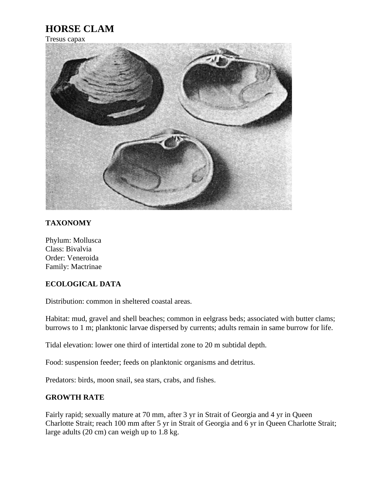# **HORSE CLAM**

## Tresus capax



## **TAXONOMY**

Phylum: Mollusca Class: Bivalvia Order: Veneroida Family: Mactrinae

#### **ECOLOGICAL DATA**

Distribution: common in sheltered coastal areas.

Habitat: mud, gravel and shell beaches; common in eelgrass beds; associated with butter clams; burrows to 1 m; planktonic larvae dispersed by currents; adults remain in same burrow for life.

Tidal elevation: lower one third of intertidal zone to 20 m subtidal depth.

Food: suspension feeder; feeds on planktonic organisms and detritus.

Predators: birds, moon snail, sea stars, crabs, and fishes.

#### **GROWTH RATE**

Fairly rapid; sexually mature at 70 mm, after 3 yr in Strait of Georgia and 4 yr in Queen Charlotte Strait; reach 100 mm after 5 yr in Strait of Georgia and 6 yr in Queen Charlotte Strait; large adults (20 cm) can weigh up to 1.8 kg.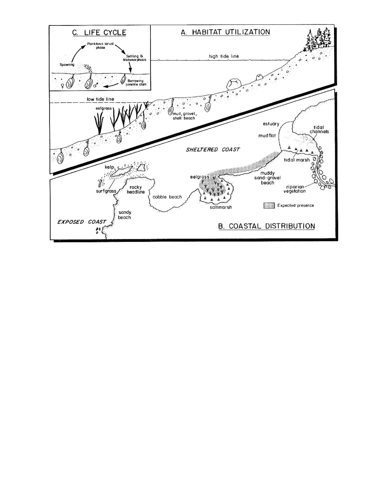